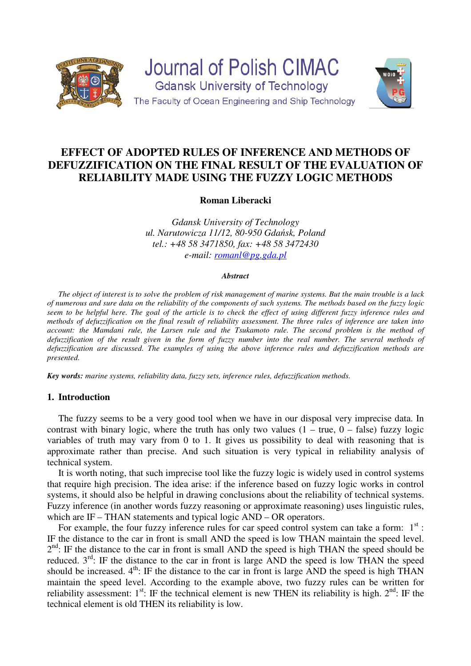

# **EFFECT OF ADOPTED RULES OF INFERENCE AND METHODS OF DEFUZZIFICATION ON THE FINAL RESULT OF THE EVALUATION OF RELIABILITY MADE USING THE FUZZY LOGIC METHODS**

**Roman Liberacki** 

*Gdansk University of Technology ul. Narutowicza 11/12, 80-950 Gdańsk, Poland tel.: +48 58 3471850, fax: +48 58 3472430 e-mail: romanl@pg.gda.pl*

#### *Abstract*

*The object of interest is to solve the problem of risk management of marine systems. But the main trouble is a lack of numerous and sure data on the reliability of the components of such systems. The methods based on the fuzzy logic seem to be helpful here. The goal of the article is to check the effect of using different fuzzy inference rules and methods of defuzzification on the final result of reliability assessment. The three rules of inference are taken into account: the Mamdani rule, the Larsen rule and the Tsukamoto rule. The second problem is the method of defuzzification of the result given in the form of fuzzy number into the real number. The several methods of defuzzification are discussed. The examples of using the above inference rules and defuzzification methods are presented.* 

*Key words: marine systems, reliability data, fuzzy sets, inference rules, defuzzification methods.* 

## **1. Introduction**

The fuzzy seems to be a very good tool when we have in our disposal very imprecise data. In contrast with binary logic, where the truth has only two values  $(1 - true, 0 - false)$  fuzzy logic variables of truth may vary from 0 to 1. It gives us possibility to deal with reasoning that is approximate rather than precise. And such situation is very typical in reliability analysis of technical system.

It is worth noting, that such imprecise tool like the fuzzy logic is widely used in control systems that require high precision. The idea arise: if the inference based on fuzzy logic works in control systems, it should also be helpful in drawing conclusions about the reliability of technical systems. Fuzzy inference (in another words fuzzy reasoning or approximate reasoning) uses linguistic rules, which are IF – THAN statements and typical logic AND – OR operators.

For example, the four fuzzy inference rules for car speed control system can take a form:  $1<sup>st</sup>$ : IF the distance to the car in front is small AND the speed is low THAN maintain the speed level.  $2<sup>nd</sup>$ : IF the distance to the car in front is small AND the speed is high THAN the speed should be reduced.  $3<sup>rd</sup>$ : IF the distance to the car in front is large AND the speed is low THAN the speed should be increased.  $4<sup>th</sup>$ : IF the distance to the car in front is large AND the speed is high THAN maintain the speed level. According to the example above, two fuzzy rules can be written for reliability assessment:  $1^{st}$ : IF the technical element is new THEN its reliability is high.  $2^{nd}$ : IF the technical element is old THEN its reliability is low.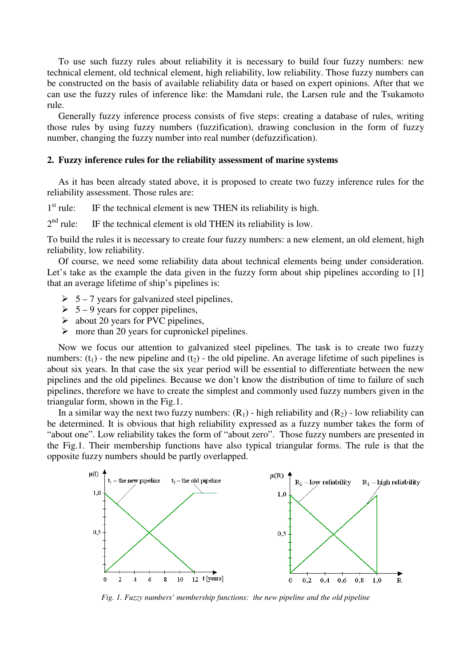To use such fuzzy rules about reliability it is necessary to build four fuzzy numbers: new technical element, old technical element, high reliability, low reliability. Those fuzzy numbers can be constructed on the basis of available reliability data or based on expert opinions. After that we can use the fuzzy rules of inference like: the Mamdani rule, the Larsen rule and the Tsukamoto rule.

Generally fuzzy inference process consists of five steps: creating a database of rules, writing those rules by using fuzzy numbers (fuzzification), drawing conclusion in the form of fuzzy number, changing the fuzzy number into real number (defuzzification).

### **2. Fuzzy inference rules for the reliability assessment of marine systems**

As it has been already stated above, it is proposed to create two fuzzy inference rules for the reliability assessment. Those rules are:

 $1<sup>st</sup>$  rule: IF the technical element is new THEN its reliability is high.

 $2<sup>nd</sup>$  rule: IF the technical element is old THEN its reliability is low.

To build the rules it is necessary to create four fuzzy numbers: a new element, an old element, high reliability, low reliability.

Of course, we need some reliability data about technical elements being under consideration. Let's take as the example the data given in the fuzzy form about ship pipelines according to [1] that an average lifetime of ship's pipelines is:

- $\geq 5 7$  years for galvanized steel pipelines,
- $\geq 5 9$  years for copper pipelines,
- $\triangleright$  about 20 years for PVC pipelines,
- $\triangleright$  more than 20 years for cupronickel pipelines.

Now we focus our attention to galvanized steel pipelines. The task is to create two fuzzy numbers:  $(t_1)$  - the new pipeline and  $(t_2)$  - the old pipeline. An average lifetime of such pipelines is about six years. In that case the six year period will be essential to differentiate between the new pipelines and the old pipelines. Because we don't know the distribution of time to failure of such pipelines, therefore we have to create the simplest and commonly used fuzzy numbers given in the triangular form, shown in the Fig.1.

In a similar way the next two fuzzy numbers:  $(R_1)$  - high reliability and  $(R_2)$  - low reliability can be determined. It is obvious that high reliability expressed as a fuzzy number takes the form of "about one". Low reliability takes the form of "about zero". Those fuzzy numbers are presented in the Fig.1. Their membership functions have also typical triangular forms. The rule is that the opposite fuzzy numbers should be partly overlapped.



*Fig. 1. Fuzzy numbers' membership functions: the new pipeline and the old pipeline*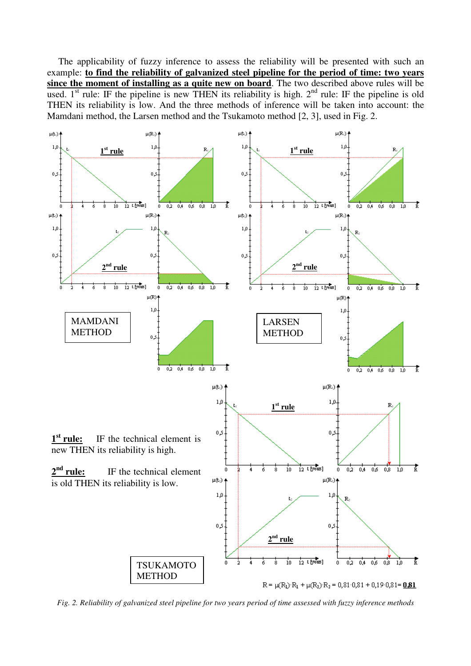The applicability of fuzzy inference to assess the reliability will be presented with such an example: **to find the reliability of galvanized steel pipeline for the period of time: two years since the moment of installing as a quite new on board**. The two described above rules will be used.  $1<sup>st</sup>$  rule: IF the pipeline is new THEN its reliability is high.  $2<sup>nd</sup>$  rule: IF the pipeline is old THEN its reliability is low. And the three methods of inference will be taken into account: the Mamdani method, the Larsen method and the Tsukamoto method [2, 3], used in Fig. 2.



*Fig. 2. Reliability of galvanized steel pipeline for two years period of time assessed with fuzzy inference methods*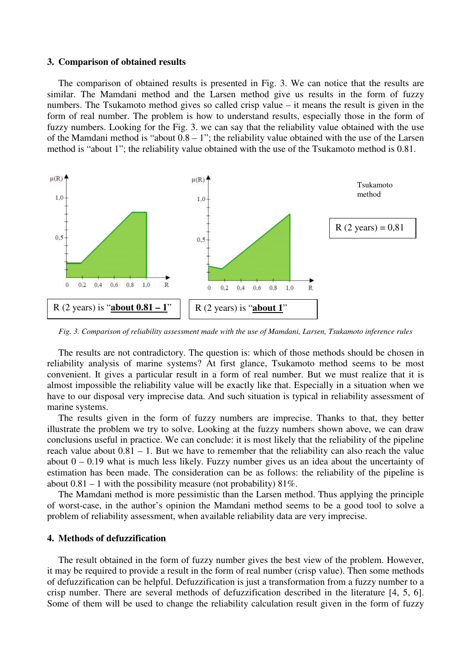#### **3. Comparison of obtained results**

The comparison of obtained results is presented in Fig. 3. We can notice that the results are similar. The Mamdani method and the Larsen method give us results in the form of fuzzy numbers. The Tsukamoto method gives so called crisp value – it means the result is given in the form of real number. The problem is how to understand results, especially those in the form of fuzzy numbers. Looking for the Fig. 3. we can say that the reliability value obtained with the use of the Mamdani method is "about  $0.8 - 1$ "; the reliability value obtained with the use of the Larsen method is "about 1"; the reliability value obtained with the use of the Tsukamoto method is 0.81.



*Fig. 3. Comparison of reliability assessment made with the use of Mamdani, Larsen, Tsukamoto inference rules* 

The results are not contradictory. The question is: which of those methods should be chosen in reliability analysis of marine systems? At first glance, Tsukamoto method seems to be most convenient. It gives a particular result in a form of real number. But we must realize that it is almost impossible the reliability value will be exactly like that. Especially in a situation when we have to our disposal very imprecise data. And such situation is typical in reliability assessment of marine systems.

The results given in the form of fuzzy numbers are imprecise. Thanks to that, they better illustrate the problem we try to solve. Looking at the fuzzy numbers shown above, we can draw conclusions useful in practice. We can conclude: it is most likely that the reliability of the pipeline reach value about 0.81 – 1. But we have to remember that the reliability can also reach the value about  $0 - 0.19$  what is much less likely. Fuzzy number gives us an idea about the uncertainty of estimation has been made. The consideration can be as follows: the reliability of the pipeline is about  $0.81 - 1$  with the possibility measure (not probability)  $81\%$ .

The Mamdani method is more pessimistic than the Larsen method. Thus applying the principle of worst-case, in the author's opinion the Mamdani method seems to be a good tool to solve a problem of reliability assessment, when available reliability data are very imprecise.

### **4. Methods of defuzzification**

The result obtained in the form of fuzzy number gives the best view of the problem. However, it may be required to provide a result in the form of real number (crisp value). Then some methods of defuzzification can be helpful. Defuzzification is just a transformation from a fuzzy number to a crisp number. There are several methods of defuzzification described in the literature [4, 5, 6]. Some of them will be used to change the reliability calculation result given in the form of fuzzy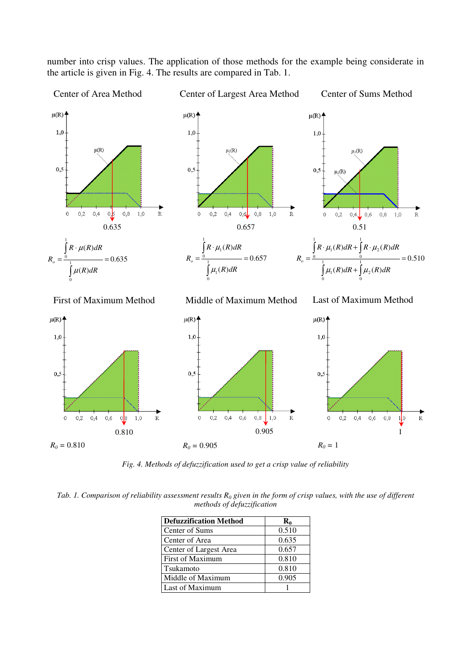number into crisp values. The application of those methods for the example being considerate in the article is given in Fig. 4. The results are compared in Tab. 1.

Center of Area Method

Center of Largest Area Method

Center of Sums Method



*Fig. 4. Methods of defuzzification used to get a crisp value of reliability* 

*Tab. 1. Comparison of reliability assessment results R0 given in the form of crisp values, with the use of different methods of defuzzification* 

| <b>Defuzzification Method</b> | $\mathbf{R}_{0}$ |
|-------------------------------|------------------|
| Center of Sums                | 0.510            |
| Center of Area                | 0.635            |
| Center of Largest Area        | 0.657            |
| First of Maximum              | 0.810            |
| Tsukamoto                     | 0.810            |
| Middle of Maximum             | 0.905            |
| Last of Maximum               |                  |